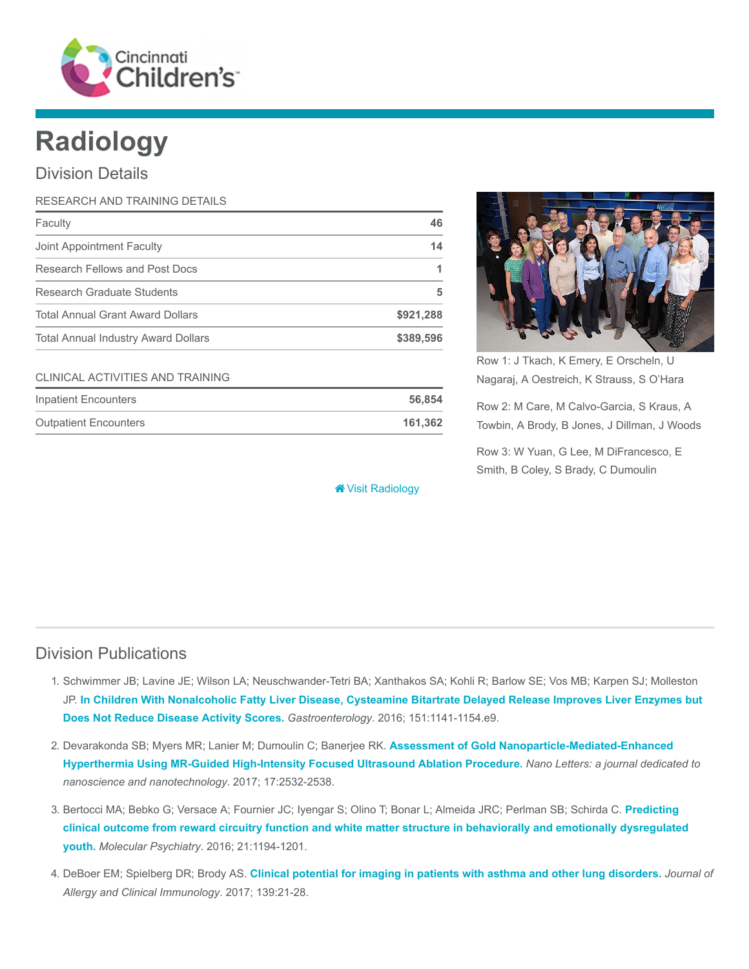

# Radiology

### Division Details

| RESEARCH AND TRAINING DETAILS              |           |
|--------------------------------------------|-----------|
| Faculty                                    | 46        |
| Joint Appointment Faculty                  | 14        |
| Research Fellows and Post Docs             |           |
| Research Graduate Students                 | 5         |
| <b>Total Annual Grant Award Dollars</b>    | \$921,288 |
| <b>Total Annual Industry Award Dollars</b> | \$389,596 |

#### CLINICAL ACTIVITIES AND TRAINING

| Inpatient Encounters         | 56.854  |
|------------------------------|---------|
| <b>Outpatient Encounters</b> | 161.362 |

[Visit Radiology](https://www.cincinnatichildrens.org/research/divisions/r/radiology)



Row 1: J Tkach, K Emery, E Orscheln, U Nagaraj, A Oestreich, K Strauss, S O'Hara

Row 2: M Care, M Calvo-Garcia, S Kraus, A Towbin, A Brody, B Jones, J Dillman, J Woods

Row 3: W Yuan, G Lee, M DiFrancesco, E Smith, B Coley, S Brady, C Dumoulin

# Division Publications

- 1. Schwimmer JB; Lavine JE; Wilson LA; Neuschwander-Tetri BA; Xanthakos SA; Kohli R; Barlow SE; Vos MB; Karpen SJ; Molleston JP. [In Children With Nonalcoholic Fatty Liver Disease, Cysteamine Bitartrate Delayed Release Improves Liver Enzymes but](https://www.ncbi.nlm.nih.gov/pubmed/27569726) Does Not Reduce Disease Activity Scores. Gastroenterology. 2016; 151:1141-1154.e9.
- 2. Devarakonda SB; Myers MR; Lanier M; Dumoulin C; Banerjee RK. Assessment of Gold Nanoparticle-Mediated-Enhanced [Hyperthermia Using MR-Guided High-Intensity Focused Ultrasound Ablation Procedure.](https://www.ncbi.nlm.nih.gov/pubmed/28287747) Nano Letters: a journal dedicated to nanoscience and nanotechnology. 2017; 17:2532-2538.
- 3. [Bertocci MA; Bebko G; Versace A; Fournier JC; Iyengar S; Olino T; Bonar L; Almeida JRC; Perlman SB; Schirda C.](https://www.ncbi.nlm.nih.gov/pubmed/26903272) Predicting clinical outcome from reward circuitry function and white matter structure in behaviorally and emotionally dysregulated youth. Molecular Psychiatry. 2016; 21:1194-1201.
- 4. DeBoer EM; Spielberg DR; Brody AS. [Clinical potential for imaging in patients with asthma and other lung disorders.](https://www.ncbi.nlm.nih.gov/pubmed/27871877) Journal of Allergy and Clinical Immunology. 2017; 139:21-28.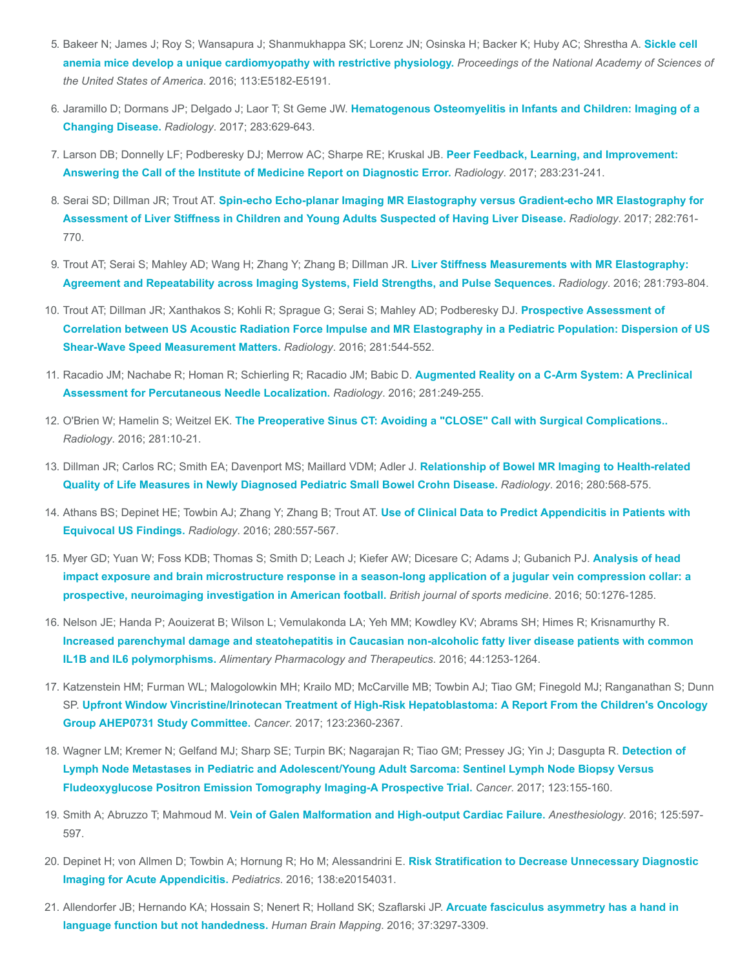- 5. [Bakeer N; James J; Roy S; Wansapura J; Shanmukhappa SK; Lorenz JN; Osinska H; Backer K; Huby AC; Shrestha A.](https://www.ncbi.nlm.nih.gov/pubmed/27503873) Sickle cell anemia mice develop a unique cardiomyopathy with restrictive physiology. Proceedings of the National Academy of Sciences of the United States of America. 2016; 113:E5182-E5191.
- 6. Jaramillo D; Dormans JP; Delgado J; Laor T; St Geme JW. [Hematogenous Osteomyelitis in Infants and Children: Imaging of a](https://www.ncbi.nlm.nih.gov/pubmed/28514223) Changing Disease. Radiology. 2017; 283:629-643.
- 7. [Larson DB; Donnelly LF; Podberesky DJ; Merrow AC; Sharpe RE; Kruskal JB.](https://www.ncbi.nlm.nih.gov/pubmed/27673509) Peer Feedback, Learning, and Improvement: Answering the Call of the Institute of Medicine Report on Diagnostic Error. Radiology. 2017; 283:231-241.
- 8. Serai SD; Dillman JR; Trout AT. Spin-echo Echo-planar Imaging MR Elastography versus Gradient-echo MR Elastography for [Assessment of Liver Stiffness in Children and Young Adults Suspected of Having Liver Disease.](https://www.ncbi.nlm.nih.gov/pubmed/27715486) Radiology. 2017; 282:761- 770.
- 9. Trout AT; Serai S; Mahley AD; Wang H; Zhang Y; Zhang B; Dillman JR. Liver Stiffness Measurements with MR Elastography: [Agreement and Repeatability across Imaging Systems, Field Strengths, and Pulse Sequences.](https://www.ncbi.nlm.nih.gov/pubmed/27285061) Radiology. 2016; 281:793-804.
- 10. Trout AT; Dillman JR; Xanthakos S; Kohli R; Sprague G; Serai S; Mahley AD; Podberesky DJ. Prospective Assessment of [Correlation between US Acoustic Radiation Force Impulse and MR Elastography in a Pediatric Population: Dispersion of US](https://www.ncbi.nlm.nih.gov/pubmed/27228332) Shear-Wave Speed Measurement Matters. Radiology. 2016; 281:544-552.
- 11. [Racadio JM; Nachabe R; Homan R; Schierling R; Racadio JM; Babic D.](https://www.ncbi.nlm.nih.gov/pubmed/27089025) Augmented Reality on a C-Arm System: A Preclinical Assessment for Percutaneous Needle Localization. Radiology. 2016; 281:249-255.
- 12. O'Brien W; Hamelin S; Weitzel EK. [The Preoperative Sinus CT: Avoiding a "CLOSE" Call with Surgical Complications..](https://www.ncbi.nlm.nih.gov/pubmed/27643765) Radiology. 2016; 281:10-21.
- 13. Dillman JR; Carlos RC; Smith EA; Davenport MS; Maillard VDM; Adler J. Relationship of Bowel MR Imaging to Health-related [Quality of Life Measures in Newly Diagnosed Pediatric Small Bowel Crohn Disease.](https://www.ncbi.nlm.nih.gov/pubmed/26840653) Radiology. 2016; 280:568-575.
- 14. [Athans BS; Depinet HE; Towbin AJ; Zhang Y; Zhang B; Trout AT.](https://www.ncbi.nlm.nih.gov/pubmed/26878226) Use of Clinical Data to Predict Appendicitis in Patients with Equivocal US Findings. Radiology. 2016; 280:557-567.
- 15. [Myer GD; Yuan W; Foss KDB; Thomas S; Smith D; Leach J; Kiefer AW; Dicesare C; Adams J; Gubanich PJ.](https://www.ncbi.nlm.nih.gov/pubmed/27307271) Analysis of head impact exposure and brain microstructure response in a season-long application of a jugular vein compression collar: a prospective, neuroimaging investigation in American football. British journal of sports medicine. 2016; 50:1276-1285.
- 16. Nelson JE; Handa P; Aouizerat B; Wilson L; Vemulakonda LA; Yeh MM; Kowdley KV; Abrams SH; Himes R; Krisnamurthy R. [Increased parenchymal damage and steatohepatitis in Caucasian non-alcoholic fatty liver disease patients with common](https://www.ncbi.nlm.nih.gov/pubmed/27730688) IL1B and IL6 polymorphisms. Alimentary Pharmacology and Therapeutics. 2016; 44:1253-1264.
- 17. Katzenstein HM; Furman WL; Malogolowkin MH; Krailo MD; McCarville MB; Towbin AJ; Tiao GM; Finegold MJ; Ranganathan S; Dunn SP. [Upfront Window Vincristine/Irinotecan Treatment of High-Risk Hepatoblastoma: A Report From the Children's Oncology](https://www.ncbi.nlm.nih.gov/pubmed/28211941) Group AHEP0731 Study Committee. Cancer. 2017; 123:2360-2367.
- 18. [Wagner LM; Kremer N; Gelfand MJ; Sharp SE; Turpin BK; Nagarajan R; Tiao GM; Pressey JG; Yin J; Dasgupta R.](https://www.ncbi.nlm.nih.gov/pubmed/27563842) Detection of Lymph Node Metastases in Pediatric and Adolescent/Young Adult Sarcoma: Sentinel Lymph Node Biopsy Versus Fludeoxyglucose Positron Emission Tomography Imaging-A Prospective Trial. Cancer. 2017; 123:155-160.
- 19. Smith A; Abruzzo T; Mahmoud M. [Vein of Galen Malformation and High-output Cardiac Failure.](https://www.ncbi.nlm.nih.gov/pubmed/26963817) Anesthesiology. 2016; 125:597-597.
- 20. [Depinet H; von Allmen D; Towbin A; Hornung R; Ho M; Alessandrini E.](https://www.ncbi.nlm.nih.gov/pubmed/27553220) Risk Stratification to Decrease Unnecessary Diagnostic Imaging for Acute Appendicitis. Pediatrics. 2016; 138:e20154031.
- 21. [Allendorfer JB; Hernando KA; Hossain S; Nenert R; Holland SK; Szaflarski JP.](https://www.ncbi.nlm.nih.gov/pubmed/27144738) Arcuate fasciculus asymmetry has a hand in language function but not handedness. Human Brain Mapping. 2016; 37:3297-3309.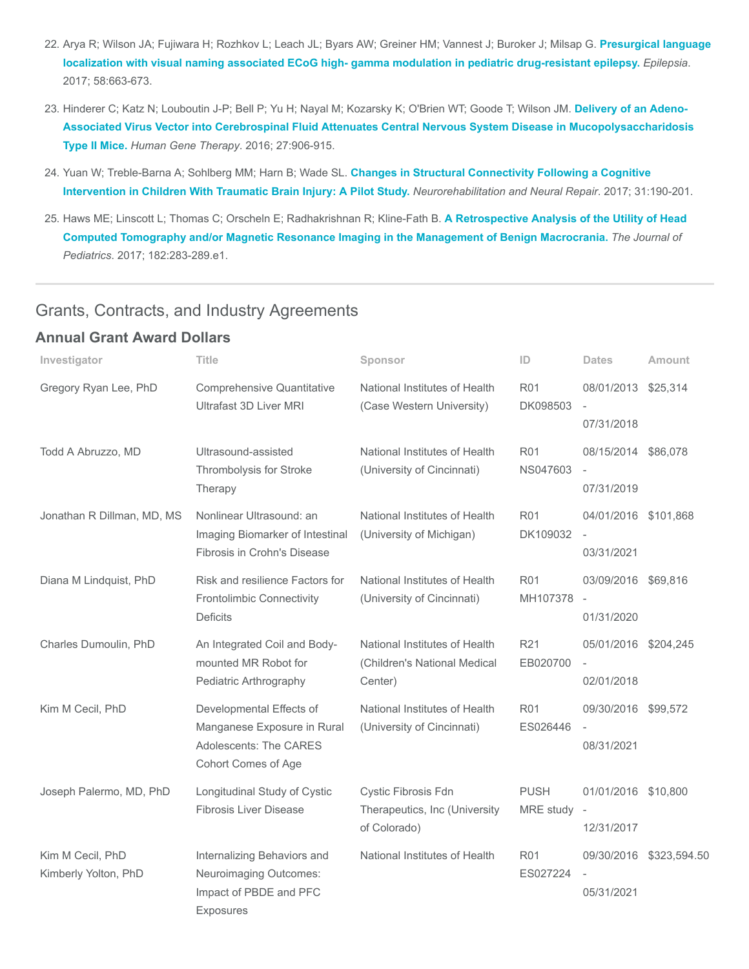- 22. [Arya R; Wilson JA; Fujiwara H; Rozhkov L; Leach JL; Byars AW; Greiner HM; Vannest J; Buroker J; Milsap G.](https://www.ncbi.nlm.nih.gov/pubmed/28225156) Presurgical language localization with visual naming associated ECoG high- gamma modulation in pediatric drug-resistant epilepsy. Epilepsia. 2017; 58:663-673.
- 23. Hinderer C; Katz N; Louboutin J-P; Bell P; Yu H; Nayal M; Kozarsky K; O'Brien WT; Goode T; Wilson JM. Delivery of an Adeno-[Associated Virus Vector into Cerebrospinal Fluid Attenuates Central Nervous System Disease in Mucopolysaccharidosis](https://www.ncbi.nlm.nih.gov/pubmed/27510804) Type II Mice. Human Gene Therapy. 2016; 27:906-915.
- 24. Yuan W; Treble-Barna A; Sohlberg MM; Harn B; Wade SL. Changes in Structural Connectivity Following a Cognitive [Intervention in Children With Traumatic Brain Injury: A Pilot Study.](https://www.ncbi.nlm.nih.gov/pubmed/27798379) Neurorehabilitation and Neural Repair. 2017; 31:190-201.
- 25. Haws ME; Linscott L; Thomas C; Orscheln E; Radhakrishnan R; Kline-Fath B. A Retrospective Analysis of the Utility of Head [Computed Tomography and/or Magnetic Resonance Imaging in the Management of Benign Macrocrania.](https://www.ncbi.nlm.nih.gov/pubmed/27989412) The Journal of Pediatrics. 2017; 182:283-289.e1.

#### Grants, Contracts, and Industry Agreements

#### Annual Grant Award Dollars

| Investigator                             | <b>Title</b>                                                                                             | Sponsor                                                                  | ID                       | <b>Dates</b>                                         | <b>Amount</b>           |
|------------------------------------------|----------------------------------------------------------------------------------------------------------|--------------------------------------------------------------------------|--------------------------|------------------------------------------------------|-------------------------|
| Gregory Ryan Lee, PhD                    | Comprehensive Quantitative<br>Ultrafast 3D Liver MRI                                                     | National Institutes of Health<br>(Case Western University)               | <b>R01</b><br>DK098503   | 08/01/2013<br>07/31/2018                             | \$25,314                |
| Todd A Abruzzo, MD                       | Ultrasound-assisted<br>Thrombolysis for Stroke<br>Therapy                                                | National Institutes of Health<br>(University of Cincinnati)              | <b>R01</b><br>NS047603   | 08/15/2014 \$86,078<br>07/31/2019                    |                         |
| Jonathan R Dillman, MD, MS               | Nonlinear Ultrasound: an<br>Imaging Biomarker of Intestinal<br>Fibrosis in Crohn's Disease               | National Institutes of Health<br>(University of Michigan)                | <b>R01</b><br>DK109032   | 04/01/2016 \$101,868<br>03/31/2021                   |                         |
| Diana M Lindquist, PhD                   | Risk and resilience Factors for<br><b>Frontolimbic Connectivity</b><br><b>Deficits</b>                   | National Institutes of Health<br>(University of Cincinnati)              | <b>R01</b><br>MH107378   | 03/09/2016<br>$\sim$<br>01/31/2020                   | \$69,816                |
| Charles Dumoulin, PhD                    | An Integrated Coil and Body-<br>mounted MR Robot for<br>Pediatric Arthrography                           | National Institutes of Health<br>(Children's National Medical<br>Center) | R21<br>EB020700          | 05/01/2016<br>02/01/2018                             | \$204,245               |
| Kim M Cecil, PhD                         | Developmental Effects of<br>Manganese Exposure in Rural<br>Adolescents: The CARES<br>Cohort Comes of Age | National Institutes of Health<br>(University of Cincinnati)              | <b>R01</b><br>ES026446   | 09/30/2016 \$99,572<br>08/31/2021                    |                         |
| Joseph Palermo, MD, PhD                  | Longitudinal Study of Cystic<br><b>Fibrosis Liver Disease</b>                                            | Cystic Fibrosis Fdn<br>Therapeutics, Inc (University<br>of Colorado)     | <b>PUSH</b><br>MRE study | 01/01/2016<br>$\overline{\phantom{a}}$<br>12/31/2017 | \$10,800                |
| Kim M Cecil, PhD<br>Kimberly Yolton, PhD | Internalizing Behaviors and<br>Neuroimaging Outcomes:<br>Impact of PBDE and PFC<br>Exposures             | National Institutes of Health                                            | <b>R01</b><br>ES027224   | 05/31/2021                                           | 09/30/2016 \$323,594.50 |